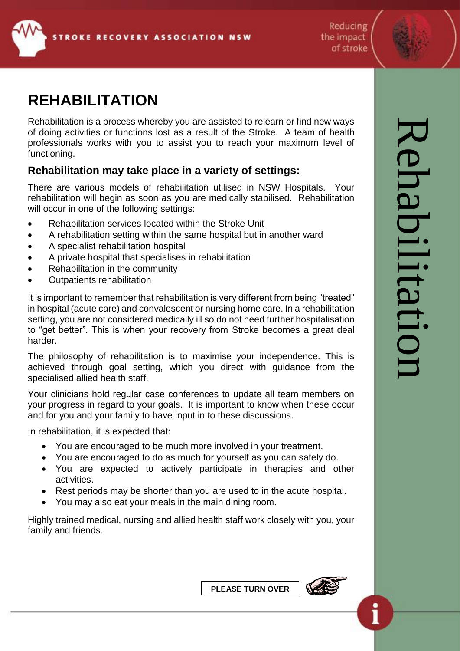

Reducing the impact of stroke

## **REHABILITATION**

Rehabilitation is a process whereby you are assisted to relearn or find new ways of doing activities or functions lost as a result of the Stroke. A team of health professionals works with you to assist you to reach your maximum level of functioning.

## **Rehabilitation may take place in a variety of settings:**

There are various models of rehabilitation utilised in NSW Hospitals. Your rehabilitation will begin as soon as you are medically stabilised. Rehabilitation will occur in one of the following settings:

- Rehabilitation services located within the Stroke Unit
- A rehabilitation setting within the same hospital but in another ward
- A specialist rehabilitation hospital
- A private hospital that specialises in rehabilitation
- Rehabilitation in the community
- Outpatients rehabilitation

It is important to remember that rehabilitation is very different from being "treated" in hospital (acute care) and convalescent or nursing home care. In a rehabilitation setting, you are not considered medically ill so do not need further hospitalisation to "get better". This is when your recovery from Stroke becomes a great deal harder.

The philosophy of rehabilitation is to maximise your independence. This is achieved through goal setting, which you direct with guidance from the specialised allied health staff.

Your clinicians hold regular case conferences to update all team members on your progress in regard to your goals. It is important to know when these occur and for you and your family to have input in to these discussions.

In rehabilitation, it is expected that:

- You are encouraged to be much more involved in your treatment.
- You are encouraged to do as much for yourself as you can safely do.
- You are expected to actively participate in therapies and other activities.
- Rest periods may be shorter than you are used to in the acute hospital.
- You may also eat your meals in the main dining room.

Highly trained medical, nursing and allied health staff work closely with you, your family and friends.

**PLEASE TURN OVER**